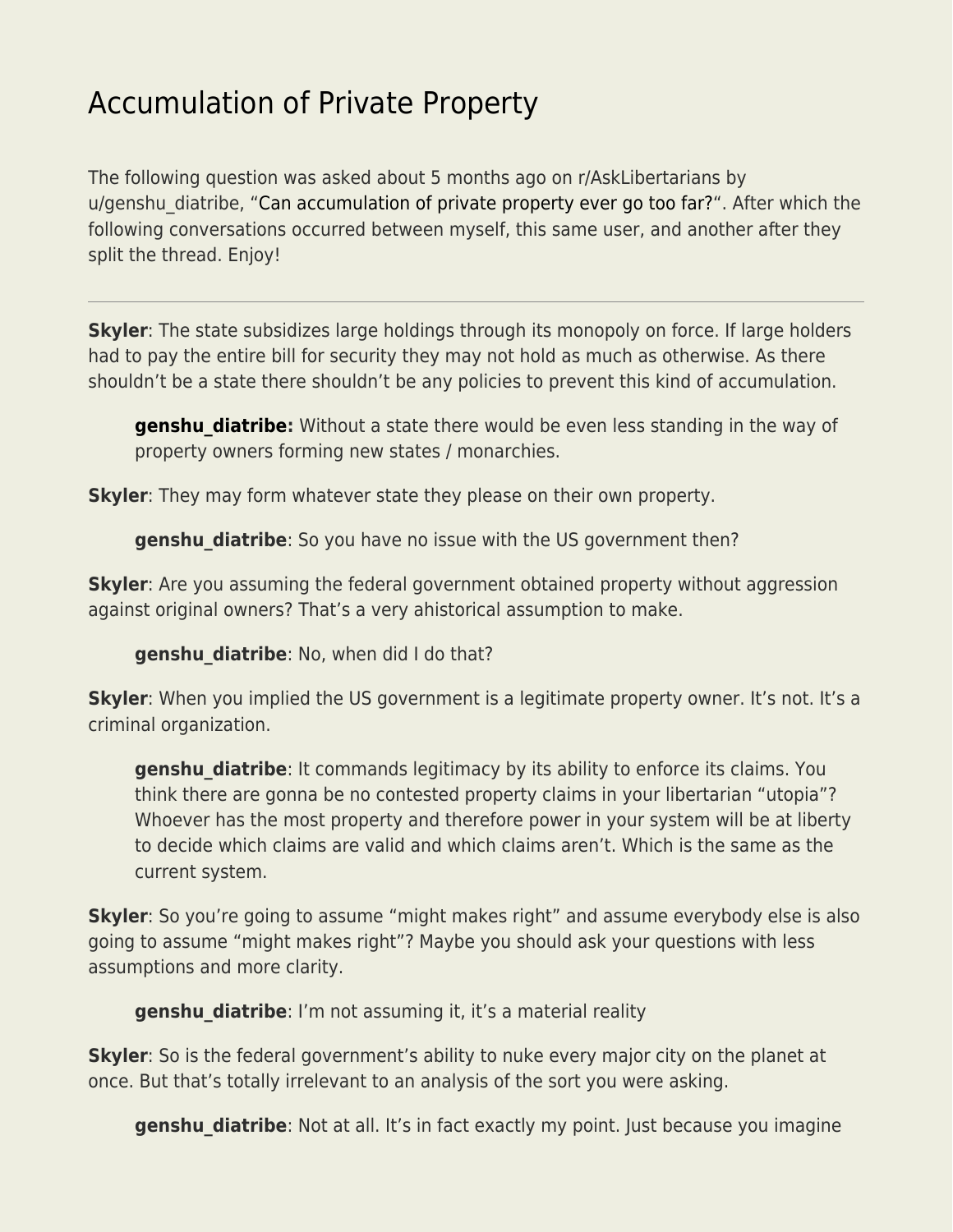## [Accumulation of Private Property](https://everything-voluntary.com/accumulation-of-private-property)

The following question was asked about 5 months ago on r/AskLibertarians by u/genshu diatribe, ["Can accumulation of private property ever go too far?](https://www.reddit.com/r/AskLibertarians/comments/r2ige9/can_accumulation_of_private_property_ever_go_too/)". After which the following conversations occurred between myself, this same user, and another after they split the thread. Enjoy!

**Skyler**: The state subsidizes large holdings through its monopoly on force. If large holders had to pay the entire bill for security they may not hold as much as otherwise. As there shouldn't be a state there shouldn't be any policies to prevent this kind of accumulation.

**[genshu\\_diatribe:](https://www.reddit.com/user/genshu_diatribe/)** Without a state there would be even less standing in the way of property owners forming new states / monarchies.

**Skyler**: They may form whatever state they please on their own property.

**genshu diatribe**: So you have no issue with the US government then?

**Skyler**: Are you assuming the federal government obtained property without aggression against original owners? That's a very ahistorical assumption to make.

**genshu\_diatribe**: No, when did I do that?

**Skyler**: When you implied the US government is a legitimate property owner. It's not. It's a criminal organization.

**genshu\_diatribe**: It commands legitimacy by its ability to enforce its claims. You think there are gonna be no contested property claims in your libertarian "utopia"? Whoever has the most property and therefore power in your system will be at liberty to decide which claims are valid and which claims aren't. Which is the same as the current system.

**Skyler**: So you're going to assume "might makes right" and assume everybody else is also going to assume "might makes right"? Maybe you should ask your questions with less assumptions and more clarity.

**genshu\_diatribe**: I'm not assuming it, it's a material reality

**Skyler**: So is the federal government's ability to nuke every major city on the planet at once. But that's totally irrelevant to an analysis of the sort you were asking.

**genshu\_diatribe**: Not at all. It's in fact exactly my point. Just because you imagine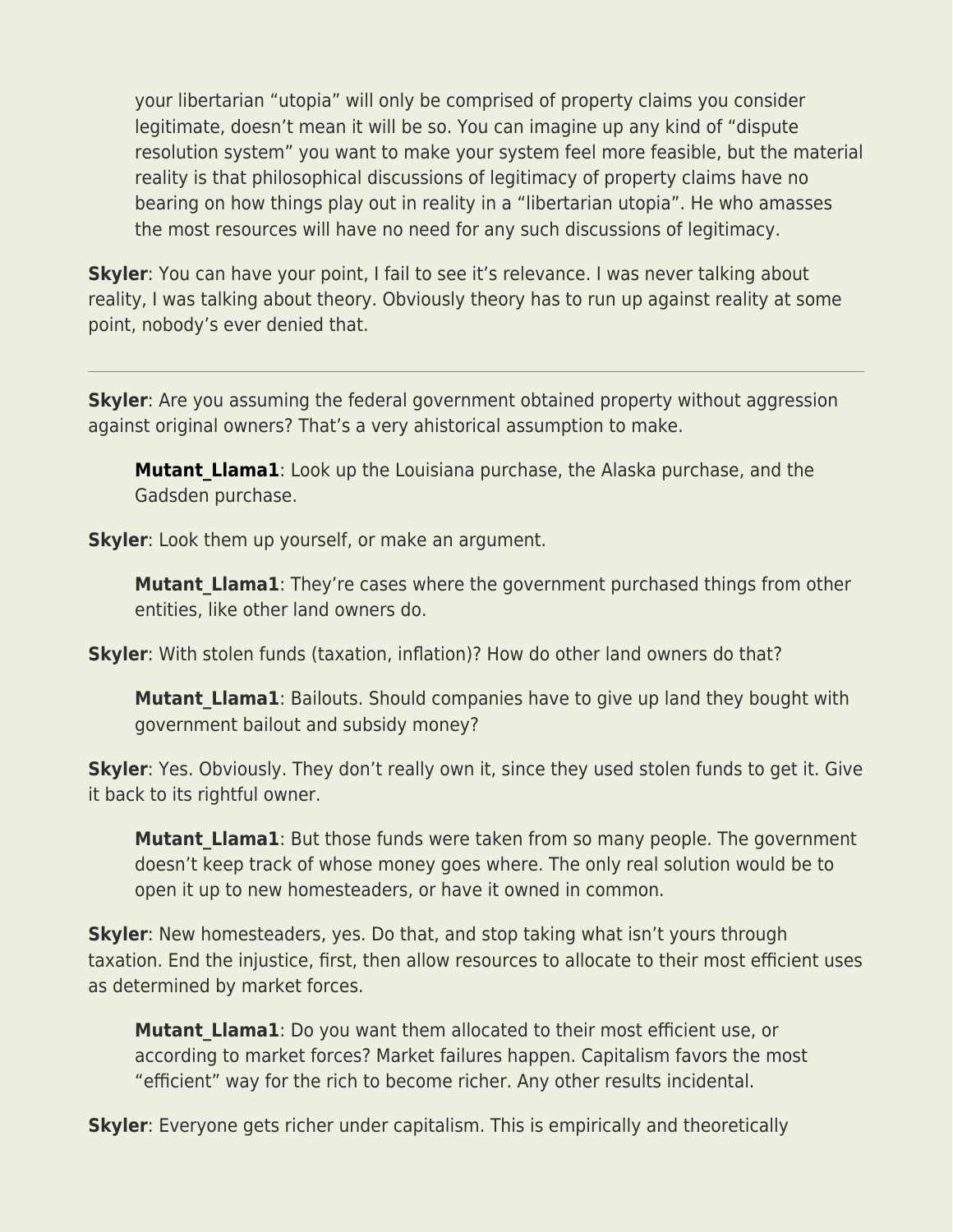your libertarian "utopia" will only be comprised of property claims you consider legitimate, doesn't mean it will be so. You can imagine up any kind of "dispute resolution system" you want to make your system feel more feasible, but the material reality is that philosophical discussions of legitimacy of property claims have no bearing on how things play out in reality in a "libertarian utopia". He who amasses the most resources will have no need for any such discussions of legitimacy.

**Skyler**: You can have your point, I fail to see it's relevance. I was never talking about reality, I was talking about theory. Obviously theory has to run up against reality at some point, nobody's ever denied that.

**Skyler**: Are you assuming the federal government obtained property without aggression against original owners? That's a very ahistorical assumption to make.

**Mutant Llama1**: Look up the Louisiana purchase, the Alaska purchase, and the Gadsden purchase.

**Skyler**: Look them up yourself, or make an argument.

**Mutant\_Llama1**: They're cases where the government purchased things from other entities, like other land owners do.

**Skyler**: With stolen funds (taxation, inflation)? How do other land owners do that?

**Mutant\_Llama1**: Bailouts. Should companies have to give up land they bought with government bailout and subsidy money?

**Skyler**: Yes. Obviously. They don't really own it, since they used stolen funds to get it. Give it back to its rightful owner.

**Mutant Llama1**: But those funds were taken from so many people. The government doesn't keep track of whose money goes where. The only real solution would be to open it up to new homesteaders, or have it owned in common.

**Skyler**: New homesteaders, yes. Do that, and stop taking what isn't yours through taxation. End the injustice, first, then allow resources to allocate to their most efficient uses as determined by market forces.

**Mutant Llama1**: Do you want them allocated to their most efficient use, or according to market forces? Market failures happen. Capitalism favors the most "efficient" way for the rich to become richer. Any other results incidental.

**Skyler**: Everyone gets richer under capitalism. This is empirically and theoretically